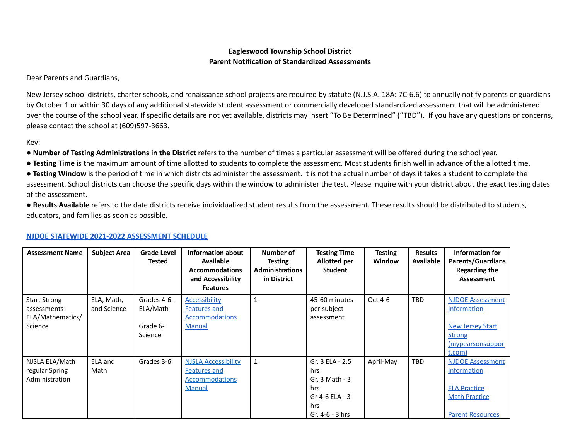## **Eagleswood Township School District Parent Notification of Standardized Assessments**

Dear Parents and Guardians,

New Jersey school districts, charter schools, and renaissance school projects are required by statute (N.J.S.A. 18A: 7C-6.6) to annually notify parents or guardians by October 1 or within 30 days of any additional statewide student assessment or commercially developed standardized assessment that will be administered over the course of the school year. If specific details are not yet available, districts may insert "To Be Determined" ("TBD"). If you have any questions or concerns, please contact the school at (609)597-3663.

Key:

● **Number of Testing Administrations in the District** refers to the number of times a particular assessment will be offered during the school year.

● **Testing Time** is the maximum amount of time allotted to students to complete the assessment. Most students finish well in advance of the allotted time.

● **Testing Window** is the period of time in which districts administer the assessment. It is not the actual number of days it takes a student to complete the assessment. School districts can choose the specific days within the window to administer the test. Please inquire with your district about the exact testing dates of the assessment.

● **Results Available** refers to the date districts receive individualized student results from the assessment. These results should be distributed to students, educators, and families as soon as possible.

| <b>Assessment Name</b>                                              | <b>Subject Area</b>       | <b>Grade Level</b><br><b>Tested</b>             | Information about<br><b>Available</b><br><b>Accommodations</b><br>and Accessibility<br><b>Features</b> | Number of<br>Testing<br><b>Administrations</b><br>in District | <b>Testing Time</b><br>Allotted per<br><b>Student</b>                                           | Testing<br>Window | <b>Results</b><br><b>Available</b> | Information for<br><b>Parents/Guardians</b><br><b>Regarding the</b><br><b>Assessment</b>                                |
|---------------------------------------------------------------------|---------------------------|-------------------------------------------------|--------------------------------------------------------------------------------------------------------|---------------------------------------------------------------|-------------------------------------------------------------------------------------------------|-------------------|------------------------------------|-------------------------------------------------------------------------------------------------------------------------|
| <b>Start Strong</b><br>assessments -<br>ELA/Mathematics/<br>Science | ELA, Math,<br>and Science | Grades 4-6 -<br>ELA/Math<br>Grade 6-<br>Science | Accessibility<br><b>Features and</b><br><b>Accommodations</b><br><b>Manual</b>                         |                                                               | 45-60 minutes<br>per subject<br>assessment                                                      | Oct 4-6           | <b>TBD</b>                         | <b>NJDOE Assessment</b><br><b>Information</b><br><b>New Jersey Start</b><br><b>Strong</b><br>(mypearsonsuppor<br>t.com) |
| NJSLA ELA/Math<br>regular Spring<br>Administration                  | ELA and<br>Math           | Grades 3-6                                      | <b>NJSLA Accessibility</b><br><b>Features and</b><br><b>Accommodations</b><br><b>Manual</b>            | $\mathbf{1}$                                                  | Gr. 3 ELA - 2.5<br>hrs<br>Gr. $3$ Math - $3$<br>hrs<br>Gr 4-6 ELA - 3<br>hrs<br>Gr. 4-6 - 3 hrs | April-May         | <b>TBD</b>                         | <b>NJDOE Assessment</b><br>Information<br><b>ELA Practice</b><br><b>Math Practice</b><br><b>Parent Resources</b>        |

## **NJDOE STATEWIDE 2021-2022 [ASSESSMENT](https://www.nj.gov/education/assessment/resources/district/Statewide_Assessments_Testing_Schedule.shtml) SCHEDULE**